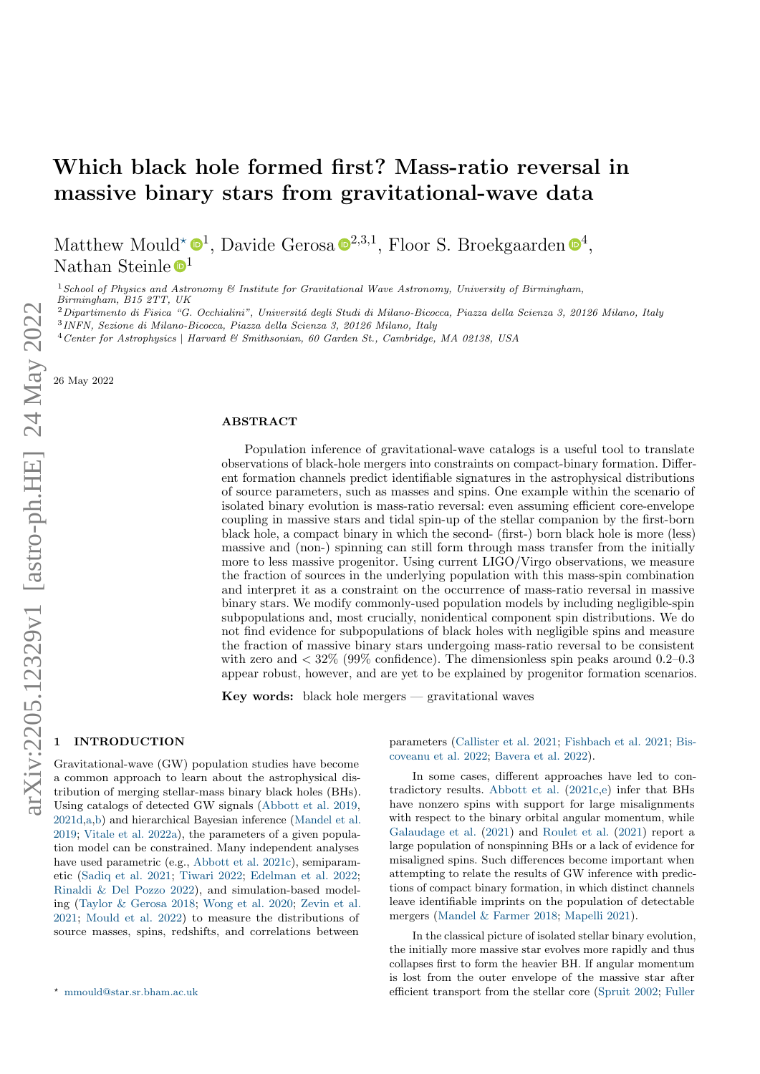# Which black hole formed first? Mass-ratio reversal in massive binary stars from gravitational-wave data

Matthew Mould<sup>\*</sup>  $\mathbb{D}^1$  $\mathbb{D}^1$ , Davide Gerosa  $\mathbb{D}^{2,3,1}$  $\mathbb{D}^{2,3,1}$  $\mathbb{D}^{2,3,1}$ , Floor S. Broekgaarden  $\mathbb{D}^4$  $\mathbb{D}^4$ , Nathan Steinle  $\mathbf{D}^1$  $\mathbf{D}^1$ 

<sup>1</sup>School of Physics and Astronomy  $\mathcal B$  Institute for Gravitational Wave Astronomy, University of Birmingham, Birmingham, B15 2TT, UK

 $2$ Dipartimento di Fisica "G. Occhialini", Universitá degli Studi di Milano-Bicocca, Piazza della Scienza 3, 20126 Milano, Italy

3 INFN, Sezione di Milano-Bicocca, Piazza della Scienza 3, 20126 Milano, Italy

<sup>4</sup>Center for Astrophysics <sup>|</sup> Harvard & Smithsonian, 60 Garden St., Cambridge, MA 02138, USA

26 May 2022

#### ABSTRACT

Population inference of gravitational-wave catalogs is a useful tool to translate observations of black-hole mergers into constraints on compact-binary formation. Different formation channels predict identifiable signatures in the astrophysical distributions of source parameters, such as masses and spins. One example within the scenario of isolated binary evolution is mass-ratio reversal: even assuming efficient core-envelope coupling in massive stars and tidal spin-up of the stellar companion by the first-born black hole, a compact binary in which the second- (first-) born black hole is more (less) massive and (non-) spinning can still form through mass transfer from the initially more to less massive progenitor. Using current LIGO/Virgo observations, we measure the fraction of sources in the underlying population with this mass-spin combination and interpret it as a constraint on the occurrence of mass-ratio reversal in massive binary stars. We modify commonly-used population models by including negligible-spin subpopulations and, most crucially, nonidentical component spin distributions. We do not find evidence for subpopulations of black holes with negligible spins and measure the fraction of massive binary stars undergoing mass-ratio reversal to be consistent with zero and  $\langle 32\% (99\% \text{ confidence})$ . The dimensionless spin peaks around 0.2–0.3 appear robust, however, and are yet to be explained by progenitor formation scenarios.

Key words: black hole mergers  $-$  gravitational waves

## <span id="page-0-0"></span>**INTRODUCTION**

Gravitational-wave (GW) population studies have become a common approach to learn about the astrophysical distribution of merging stellar-mass binary black holes (BHs). Using catalogs of detected GW signals [\(Abbott et al.](#page-6-0) [2019,](#page-6-0) [2021d](#page-6-1)[,a](#page-6-2)[,b\)](#page-6-3) and hierarchical Bayesian inference [\(Mandel et al.](#page-8-0) [2019;](#page-8-0) [Vitale et al.](#page-8-1) [2022a\)](#page-8-1), the parameters of a given population model can be constrained. Many independent analyses have used parametric (e.g., [Abbott et al.](#page-6-4) [2021c\)](#page-6-4), semiparametic [\(Sadiq et al.](#page-8-2) [2021;](#page-8-2) [Tiwari](#page-8-3) [2022;](#page-8-3) [Edelman et al.](#page-6-5) [2022;](#page-6-5) [Rinaldi & Del Pozzo](#page-8-4) [2022\)](#page-8-4), and simulation-based modeling [\(Taylor & Gerosa](#page-8-5) [2018;](#page-8-5) [Wong et al.](#page-8-6) [2020;](#page-8-6) [Zevin et al.](#page-8-7) [2021;](#page-8-7) [Mould et al.](#page-8-8) [2022\)](#page-8-8) to measure the distributions of source masses, spins, redshifts, and correlations between

parameters [\(Callister et al.](#page-6-6) [2021;](#page-6-6) [Fishbach et al.](#page-6-7) [2021;](#page-6-7) [Bis](#page-6-8)[coveanu et al.](#page-6-8) [2022;](#page-6-8) [Bavera et al.](#page-6-9) [2022\)](#page-6-9).

In some cases, different approaches have led to contradictory results. [Abbott et al.](#page-6-4) [\(2021c,](#page-6-4)[e\)](#page-6-10) infer that BHs have nonzero spins with support for large misalignments with respect to the binary orbital angular momentum, while [Galaudage et al.](#page-8-9) [\(2021\)](#page-8-9) and [Roulet et al.](#page-8-10) [\(2021\)](#page-8-10) report a large population of nonspinning BHs or a lack of evidence for misaligned spins. Such differences become important when attempting to relate the results of GW inference with predictions of compact binary formation, in which distinct channels leave identifiable imprints on the population of detectable mergers [\(Mandel & Farmer](#page-8-11) [2018;](#page-8-11) [Mapelli](#page-8-12) [2021\)](#page-8-12).

In the classical picture of isolated stellar binary evolution, the initially more massive star evolves more rapidly and thus collapses first to form the heavier BH. If angular momentum is lost from the outer envelope of the massive star after efficient transport from the stellar core [\(Spruit](#page-8-13) [2002;](#page-8-13) [Fuller](#page-8-14)

<sup>?</sup> [mmould@star.sr.bham.ac.uk](mailto:mmould@star.sr.bham.ac.uk)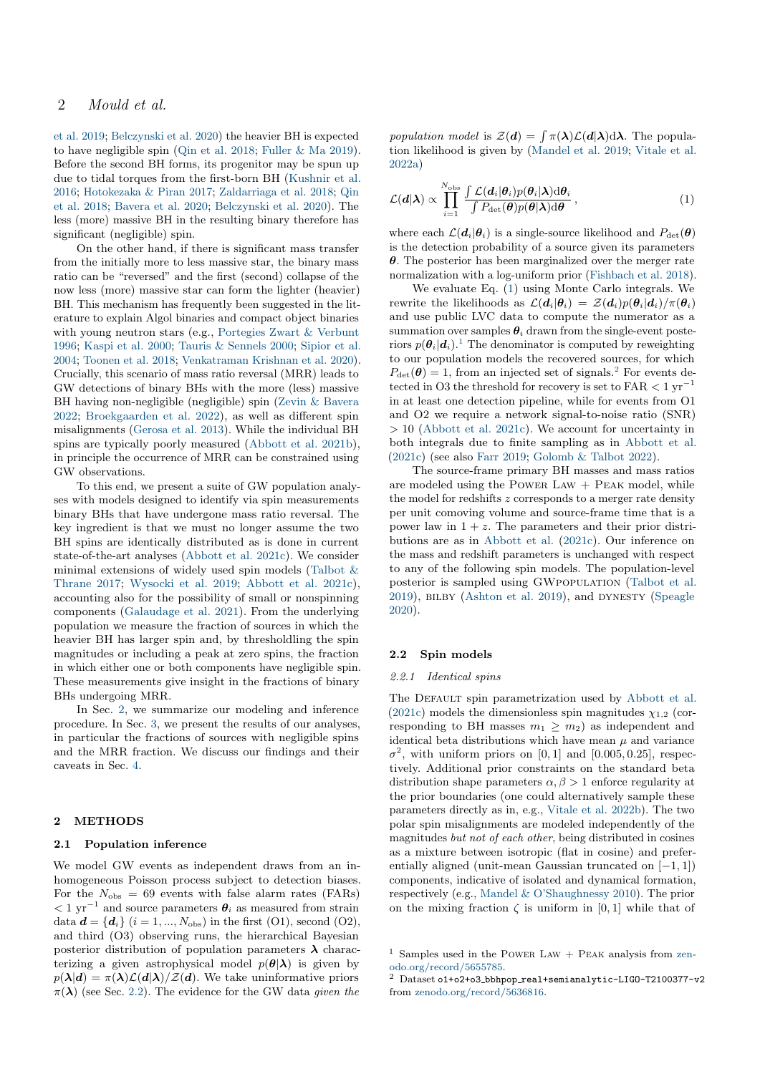[et al.](#page-8-14) [2019;](#page-8-14) [Belczynski et al.](#page-6-11) [2020\)](#page-6-11) the heavier BH is expected to have negligible spin [\(Qin et al.](#page-8-15) [2018;](#page-8-15) [Fuller & Ma](#page-6-12) [2019\)](#page-6-12). Before the second BH forms, its progenitor may be spun up due to tidal torques from the first-born BH [\(Kushnir et al.](#page-8-16) [2016;](#page-8-16) [Hotokezaka & Piran](#page-8-17) [2017;](#page-8-17) [Zaldarriaga et al.](#page-8-18) [2018;](#page-8-18) [Qin](#page-8-15) [et al.](#page-8-15) [2018;](#page-8-15) [Bavera et al.](#page-6-13) [2020;](#page-6-13) [Belczynski et al.](#page-6-11) [2020\)](#page-6-11). The less (more) massive BH in the resulting binary therefore has significant (negligible) spin.

On the other hand, if there is significant mass transfer from the initially more to less massive star, the binary mass ratio can be "reversed" and the first (second) collapse of the now less (more) massive star can form the lighter (heavier) BH. This mechanism has frequently been suggested in the literature to explain Algol binaries and compact object binaries with young neutron stars (e.g., [Portegies Zwart & Verbunt](#page-8-19) [1996;](#page-8-19) [Kaspi et al.](#page-8-20) [2000;](#page-8-20) [Tauris & Sennels](#page-8-21) [2000;](#page-8-21) [Sipior et al.](#page-8-22) [2004;](#page-8-22) [Toonen et al.](#page-8-23) [2018;](#page-8-23) [Venkatraman Krishnan et al.](#page-8-24) [2020\)](#page-8-24). Crucially, this scenario of mass ratio reversal (MRR) leads to GW detections of binary BHs with the more (less) massive BH having non-negligible (negligible) spin [\(Zevin & Bavera](#page-8-25) [2022;](#page-8-25) [Broekgaarden et al.](#page-6-14) [2022\)](#page-6-14), as well as different spin misalignments [\(Gerosa et al.](#page-8-26) [2013\)](#page-8-26). While the individual BH spins are typically poorly measured [\(Abbott et al.](#page-6-3) [2021b\)](#page-6-3), in principle the occurrence of MRR can be constrained using GW observations.

To this end, we present a suite of GW population analyses with models designed to identify via spin measurements binary BHs that have undergone mass ratio reversal. The key ingredient is that we must no longer assume the two BH spins are identically distributed as is done in current state-of-the-art analyses [\(Abbott et al.](#page-6-4) [2021c\)](#page-6-4). We consider minimal extensions of widely used spin models (Talbot  $\&$ [Thrane](#page-8-27) [2017;](#page-8-27) [Wysocki et al.](#page-8-28) [2019;](#page-8-28) [Abbott et al.](#page-6-4) [2021c\)](#page-6-4), accounting also for the possibility of small or nonspinning components [\(Galaudage et al.](#page-8-9) [2021\)](#page-8-9). From the underlying population we measure the fraction of sources in which the heavier BH has larger spin and, by thresholdling the spin magnitudes or including a peak at zero spins, the fraction in which either one or both components have negligible spin. These measurements give insight in the fractions of binary BHs undergoing MRR.

In Sec. [2,](#page-1-0) we summarize our modeling and inference procedure. In Sec. [3,](#page-2-0) we present the results of our analyses, in particular the fractions of sources with negligible spins and the MRR fraction. We discuss our findings and their caveats in Sec. [4.](#page-3-0)

## <span id="page-1-0"></span>2 METHODS

## 2.1 Population inference

We model GW events as independent draws from an inhomogeneous Poisson process subject to detection biases. For the  $N_{\text{obs}} = 69$  events with false alarm rates (FARs)  $< 1$  yr<sup>-1</sup> and source parameters  $\theta_i$  as measured from strain data  $d = \{d_i\}$   $(i = 1, ..., N_{obs})$  in the first (O1), second (O2), and third (O3) observing runs, the hierarchical Bayesian posterior distribution of population parameters  $\lambda$  characterizing a given astrophysical model  $p(\theta|\lambda)$  is given by  $p(\lambda|\mathbf{d}) = \pi(\lambda)\mathcal{L}(\mathbf{d}|\lambda)/\mathcal{Z}(\mathbf{d})$ . We take uninformative priors  $\pi(\lambda)$  (see Sec. [2.2\)](#page-1-1). The evidence for the GW data given the

population model is  $\mathcal{Z}(\boldsymbol{d}) = \int \pi(\boldsymbol{\lambda}) \mathcal{L}(\boldsymbol{d}|\boldsymbol{\lambda}) d\boldsymbol{\lambda}$ . The population likelihood is given by [\(Mandel et al.](#page-8-0) [2019;](#page-8-0) [Vitale et al.](#page-8-1) [2022a\)](#page-8-1)

<span id="page-1-2"></span>
$$
\mathcal{L}(\boldsymbol{d}|\boldsymbol{\lambda}) \propto \prod_{i=1}^{N_{\rm obs}} \frac{\int \mathcal{L}(\boldsymbol{d}_i|\boldsymbol{\theta}_i)p(\boldsymbol{\theta}_i|\boldsymbol{\lambda})d\boldsymbol{\theta}_i}{\int P_{\rm det}(\boldsymbol{\theta})p(\boldsymbol{\theta}|\boldsymbol{\lambda})d\boldsymbol{\theta}},
$$
\n(1)

where each  $\mathcal{L}(\mathbf{d}_i|\theta_i)$  is a single-source likelihood and  $P_{\text{det}}(\theta)$ is the detection probability of a source given its parameters  $\theta$ . The posterior has been marginalized over the merger rate normalization with a log-uniform prior [\(Fishbach et al.](#page-6-15) [2018\)](#page-6-15).

We evaluate Eq. [\(1\)](#page-1-2) using Monte Carlo integrals. We rewrite the likelihoods as  $\mathcal{L}(\bm{d}_i|\bm{\theta}_i) = \mathcal{Z}(\bm{d}_i)p(\bm{\theta}_i|\bm{d}_i)/\pi(\bm{\theta}_i)$ and use public LVC data to compute the numerator as a summation over samples  $\theta_i$  drawn from the single-event posteriors  $p(\theta_i|d_i)$ .<sup>[1](#page-1-3)</sup> The denominator is computed by reweighting to our population models the recovered sources, for which  $P_{\text{det}}(\theta) = 1$ , from an injected set of signals.<sup>[2](#page-1-4)</sup> For events detected in O3 the threshold for recovery is set to FAR  $< 1 \text{ yr}^{-1}$ in at least one detection pipeline, while for events from O1 and O2 we require a network signal-to-noise ratio (SNR) > 10 [\(Abbott et al.](#page-6-4) [2021c\)](#page-6-4). We account for uncertainty in both integrals due to finite sampling as in [Abbott et al.](#page-6-4) [\(2021c\)](#page-6-4) (see also [Farr](#page-6-16) [2019;](#page-6-16) [Golomb & Talbot](#page-8-29) [2022\)](#page-8-29).

The source-frame primary BH masses and mass ratios are modeled using the POWER LAW  $+$  PEAK model, while the model for redshifts  $z$  corresponds to a merger rate density per unit comoving volume and source-frame time that is a power law in  $1 + z$ . The parameters and their prior distributions are as in [Abbott et al.](#page-6-4) [\(2021c\)](#page-6-4). Our inference on the mass and redshift parameters is unchanged with respect to any of the following spin models. The population-level posterior is sampled using GWpopulation [\(Talbot et al.](#page-8-30) [2019\)](#page-6-17), BILBY [\(Ashton et al.](#page-6-17) 2019), and DYNESTY [\(Speagle](#page-8-31) [2020\)](#page-8-31).

#### <span id="page-1-1"></span>2.2 Spin models

#### 2.2.1 Identical spins

The DEFAULT spin parametrization used by [Abbott et al.](#page-6-4) [\(2021c\)](#page-6-4) models the dimensionless spin magnitudes  $\chi_{1,2}$  (corresponding to BH masses  $m_1 > m_2$  as independent and identical beta distributions which have mean  $\mu$  and variance  $\sigma^2$ , with uniform priors on [0, 1] and [0.005, 0.25], respectively. Additional prior constraints on the standard beta distribution shape parameters  $\alpha, \beta > 1$  enforce regularity at the prior boundaries (one could alternatively sample these parameters directly as in, e.g., [Vitale et al.](#page-8-32) [2022b\)](#page-8-32). The two polar spin misalignments are modeled independently of the magnitudes but not of each other, being distributed in cosines as a mixture between isotropic (flat in cosine) and preferentially aligned (unit-mean Gaussian truncated on [−1, 1]) components, indicative of isolated and dynamical formation, respectively (e.g., [Mandel & O'Shaughnessy](#page-8-33) [2010\)](#page-8-33). The prior on the mixing fraction  $\zeta$  is uniform in [0, 1] while that of

<span id="page-1-3"></span><sup>&</sup>lt;sup>1</sup> Samples used in the POWER LAW + PEAK analysis from [zen](https://zenodo.org/record/5655785)[odo.org/record/5655785.](https://zenodo.org/record/5655785)

<span id="page-1-4"></span><sup>2</sup> Dataset o1+o2+o3 bbhpop real+semianalytic-LIGO-T2100377-v2 from [zenodo.org/record/5636816.](https://zenodo.org/record/5636816)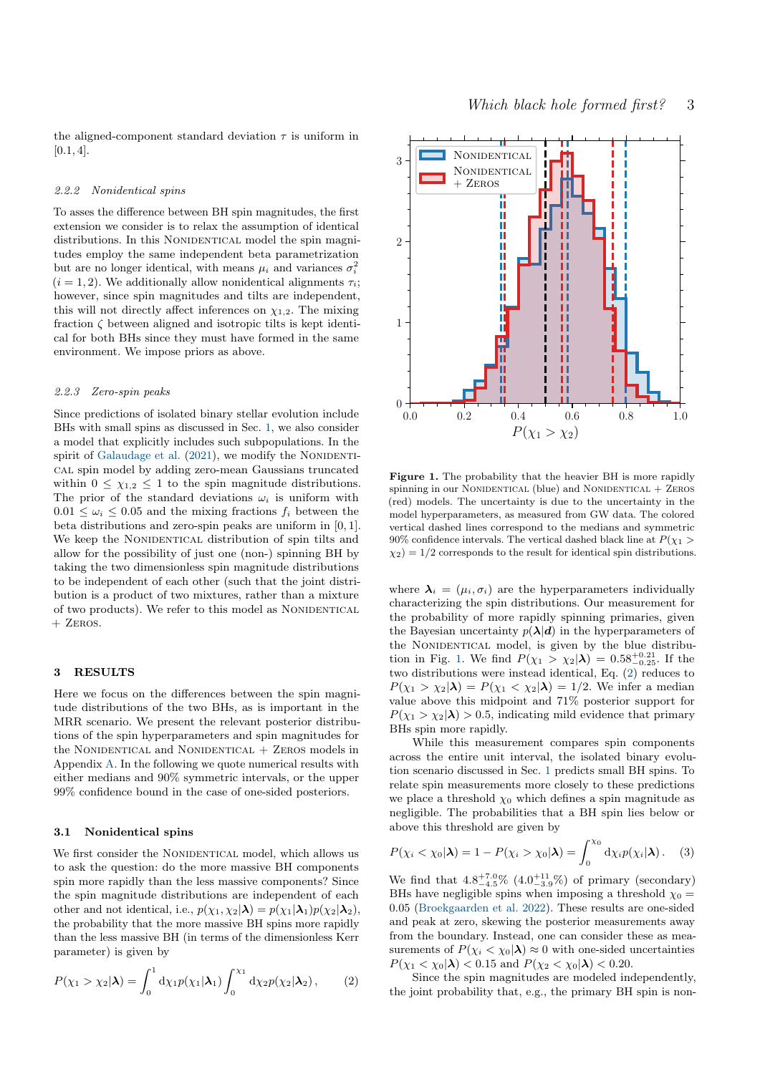#### 2.2.2 Nonidentical spins

To asses the difference between BH spin magnitudes, the first extension we consider is to relax the assumption of identical distributions. In this NONIDENTICAL model the spin magnitudes employ the same independent beta parametrization but are no longer identical, with means  $\mu_i$  and variances  $\sigma_i^2$  $(i = 1, 2)$ . We additionally allow nonidentical alignments  $\tau_i$ ; however, since spin magnitudes and tilts are independent, this will not directly affect inferences on  $\chi_{1,2}$ . The mixing fraction  $\zeta$  between aligned and isotropic tilts is kept identical for both BHs since they must have formed in the same environment. We impose priors as above.

#### 2.2.3 Zero-spin peaks

Since predictions of isolated binary stellar evolution include BHs with small spins as discussed in Sec. [1,](#page-0-0) we also consider a model that explicitly includes such subpopulations. In the spirit of [Galaudage et al.](#page-8-9)  $(2021)$ , we modify the NONIDENTIcal spin model by adding zero-mean Gaussians truncated within  $0 \leq \chi_{1,2} \leq 1$  to the spin magnitude distributions. The prior of the standard deviations  $\omega_i$  is uniform with  $0.01 \leq \omega_i \leq 0.05$  and the mixing fractions  $f_i$  between the beta distributions and zero-spin peaks are uniform in [0, 1]. We keep the NONIDENTICAL distribution of spin tilts and allow for the possibility of just one (non-) spinning BH by taking the two dimensionless spin magnitude distributions to be independent of each other (such that the joint distribution is a product of two mixtures, rather than a mixture of two products). We refer to this model as NONIDENTICAL + Zeros.

#### <span id="page-2-0"></span>3 RESULTS

Here we focus on the differences between the spin magnitude distributions of the two BHs, as is important in the MRR scenario. We present the relevant posterior distributions of the spin hyperparameters and spin magnitudes for the NONIDENTICAL and NONIDENTICAL + ZEROS models in Appendix [A.](#page-6-18) In the following we quote numerical results with either medians and 90% symmetric intervals, or the upper 99% confidence bound in the case of one-sided posteriors.

## <span id="page-2-3"></span>3.1 Nonidentical spins

We first consider the NONIDENTICAL model, which allows us to ask the question: do the more massive BH components spin more rapidly than the less massive components? Since the spin magnitude distributions are independent of each other and not identical, i.e.,  $p(\chi_1, \chi_2 | \lambda) = p(\chi_1 | \lambda_1) p(\chi_2 | \lambda_2)$ , the probability that the more massive BH spins more rapidly than the less massive BH (in terms of the dimensionless Kerr parameter) is given by

$$
P(\chi_1 > \chi_2 | \boldsymbol{\lambda}) = \int_0^1 \mathrm{d}\chi_1 p(\chi_1 | \boldsymbol{\lambda}_1) \int_0^{\chi_1} \mathrm{d}\chi_2 p(\chi_2 | \boldsymbol{\lambda}_2), \qquad (2)
$$



<span id="page-2-1"></span>Figure 1. The probability that the heavier BH is more rapidly spinning in our NONIDENTICAL (blue) and NONIDENTICAL  $+$  ZEROS (red) models. The uncertainty is due to the uncertainty in the model hyperparameters, as measured from GW data. The colored vertical dashed lines correspond to the medians and symmetric 90% confidence intervals. The vertical dashed black line at  $P(\chi_1 >$  $\chi_2$ ) = 1/2 corresponds to the result for identical spin distributions.

where  $\lambda_i = (\mu_i, \sigma_i)$  are the hyperparameters individually characterizing the spin distributions. Our measurement for the probability of more rapidly spinning primaries, given the Bayesian uncertainty  $p(\lambda|\mathbf{d})$  in the hyperparameters of the NONIDENTICAL model, is given by the blue distribu-tion in Fig. [1.](#page-2-1) We find  $P(\chi_1 > \chi_2 | \lambda) = 0.58^{+0.21}_{-0.25}$ . If the two distributions were instead identical, Eq. [\(2\)](#page-2-2) reduces to  $P(\chi_1 > \chi_2 | \lambda) = P(\chi_1 < \chi_2 | \lambda) = 1/2$ . We infer a median value above this midpoint and 71% posterior support for  $P(\chi_1 > \chi_2 | \lambda) > 0.5$ , indicating mild evidence that primary BHs spin more rapidly.

While this measurement compares spin components across the entire unit interval, the isolated binary evolution scenario discussed in Sec. [1](#page-0-0) predicts small BH spins. To relate spin measurements more closely to these predictions we place a threshold  $\chi_0$  which defines a spin magnitude as negligible. The probabilities that a BH spin lies below or above this threshold are given by

$$
P(\chi_i < \chi_0 | \boldsymbol{\lambda}) = 1 - P(\chi_i > \chi_0 | \boldsymbol{\lambda}) = \int_0^{\chi_0} \mathrm{d}\chi_i p(\chi_i | \boldsymbol{\lambda}) \,. \tag{3}
$$

We find that  $4.8^{+7.0}_{-4.5}\%$   $(4.0^{+11}_{-3.9}\%)$  of primary (secondary) BHs have negligible spins when imposing a threshold  $\chi_0 =$ 0.05 [\(Broekgaarden et al.](#page-6-14) [2022\)](#page-6-14). These results are one-sided and peak at zero, skewing the posterior measurements away from the boundary. Instead, one can consider these as measurements of  $P(\chi_i < \chi_0 | \lambda) \approx 0$  with one-sided uncertainties  $P(\chi_1 < \chi_0 | \lambda) < 0.15$  and  $P(\chi_2 < \chi_0 | \lambda) < 0.20$ .

<span id="page-2-2"></span>Since the spin magnitudes are modeled independently, the joint probability that, e.g., the primary BH spin is non-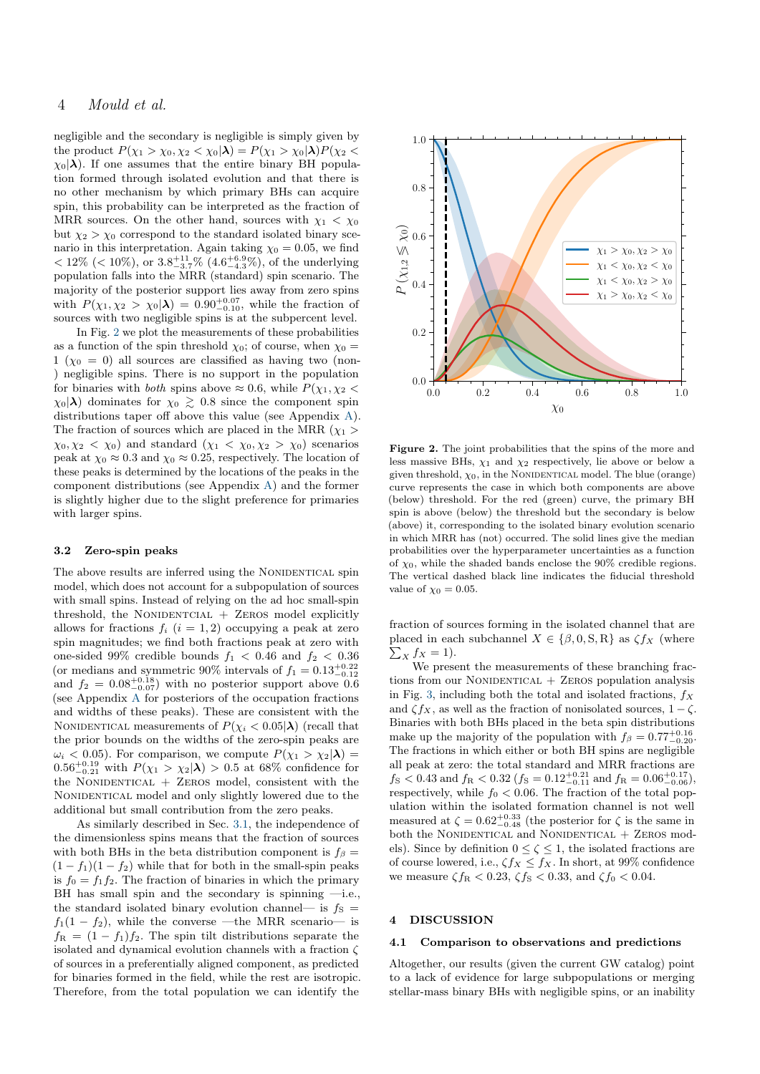## 4 Mould et al.

negligible and the secondary is negligible is simply given by the product  $P(\chi_1 > \chi_0, \chi_2 < \chi_0 | \lambda) = P(\chi_1 > \chi_0 | \lambda) P(\chi_2 <$  $\chi_0|\lambda$ ). If one assumes that the entire binary BH population formed through isolated evolution and that there is no other mechanism by which primary BHs can acquire spin, this probability can be interpreted as the fraction of MRR sources. On the other hand, sources with  $\chi_1 < \chi_0$ but  $\chi_2 > \chi_0$  correspond to the standard isolated binary scenario in this interpretation. Again taking  $\chi_0 = 0.05$ , we find  $<$  12% ( $<$  10%), or 3.8<sup>+11</sup>/<sub>3.7</sub>% (4.6<sup>+6.9</sup>%), of the underlying population falls into the MRR (standard) spin scenario. The majority of the posterior support lies away from zero spins with  $P(\chi_1, \chi_2 > \chi_0 | \lambda) = 0.90^{+0.07}_{-0.10}$ , while the fraction of sources with two negligible spins is at the subpercent level.

In Fig. [2](#page-3-1) we plot the measurements of these probabilities as a function of the spin threshold  $\chi_0$ ; of course, when  $\chi_0 =$  $1 (\chi_0 = 0)$  all sources are classified as having two (non-) negligible spins. There is no support in the population for binaries with *both* spins above  $\approx 0.6$ , while  $P(\chi_1, \chi_2$  $\chi_0|\lambda\rangle$  dominates for  $\chi_0 \gtrsim 0.8$  since the component spin distributions taper off above this value (see Appendix [A\)](#page-6-18). The fraction of sources which are placed in the MRR ( $\chi_1$ )  $\chi_0, \chi_2 < \chi_0$ ) and standard  $(\chi_1 < \chi_0, \chi_2 > \chi_0)$  scenarios peak at  $\chi_0 \approx 0.3$  and  $\chi_0 \approx 0.25$ , respectively. The location of these peaks is determined by the locations of the peaks in the component distributions (see Appendix [A\)](#page-6-18) and the former is slightly higher due to the slight preference for primaries with larger spins.

## <span id="page-3-2"></span>3.2 Zero-spin peaks

The above results are inferred using the NONIDENTICAL spin model, which does not account for a subpopulation of sources with small spins. Instead of relying on the ad hoc small-spin threshold, the NONIDENTCIAL  $+$  ZEROS model explicitly allows for fractions  $f_i$   $(i = 1, 2)$  occupying a peak at zero spin magnitudes; we find both fractions peak at zero with one-sided 99% credible bounds  $f_1 < 0.46$  and  $f_2 < 0.36$ (or medians and symmetric 90% intervals of  $f_1 = 0.13_{-0.12}^{+0.22}$ and  $f_2 = 0.08^{+0.18}_{-0.07}$  with no posterior support above 0.6 (see Appendix [A](#page-6-18) for posteriors of the occupation fractions and widths of these peaks). These are consistent with the NONIDENTICAL measurements of  $P(\chi_i < 0.05|\lambda)$  (recall that the prior bounds on the widths of the zero-spin peaks are  $\omega_i$  < 0.05). For comparison, we compute  $P(\chi_1 > \chi_2 | \lambda)$  =  $0.56^{+0.19}_{-0.21}$  with  $P(\chi_1 > \chi_2 | \lambda) > 0.5$  at 68% confidence for the NONIDENTICAL  $+$  ZEROS model, consistent with the NONIDENTICAL model and only slightly lowered due to the additional but small contribution from the zero peaks.

As similarly described in Sec. [3.1,](#page-2-3) the independence of the dimensionless spins means that the fraction of sources with both BHs in the beta distribution component is  $f_\beta =$  $(1 - f_1)(1 - f_2)$  while that for both in the small-spin peaks is  $f_0 = f_1 f_2$ . The fraction of binaries in which the primary BH has small spin and the secondary is spinning —i.e., the standard isolated binary evolution channel— is  $f<sub>S</sub>$  =  $f_1(1 - f_2)$ , while the converse —the MRR scenario— is  $f_{\rm R} = (1 - f_1)f_2$ . The spin tilt distributions separate the isolated and dynamical evolution channels with a fraction  $\zeta$ of sources in a preferentially aligned component, as predicted for binaries formed in the field, while the rest are isotropic. Therefore, from the total population we can identify the



<span id="page-3-1"></span>Figure 2. The joint probabilities that the spins of the more and less massive BHs,  $\chi_1$  and  $\chi_2$  respectively, lie above or below a given threshold,  $\chi_0$ , in the NONIDENTICAL model. The blue (orange) curve represents the case in which both components are above (below) threshold. For the red (green) curve, the primary BH spin is above (below) the threshold but the secondary is below (above) it, corresponding to the isolated binary evolution scenario in which MRR has (not) occurred. The solid lines give the median probabilities over the hyperparameter uncertainties as a function of  $\chi_0$ , while the shaded bands enclose the 90% credible regions. The vertical dashed black line indicates the fiducial threshold value of  $\chi_0 = 0.05$ .

fraction of sources forming in the isolated channel that are placed in each subchannel  $X \in \{\beta, 0, S, R\}$  as  $\zeta f_X$  (where  $\sum_X f_X = 1$ .

We present the measurements of these branching fractions from our NONIDENTICAL  $+$  ZEROS population analysis in Fig. [3,](#page-4-0) including both the total and isolated fractions,  $f_X$ and  $\zeta f_X$ , as well as the fraction of nonisolated sources,  $1 - \zeta$ . Binaries with both BHs placed in the beta spin distributions make up the majority of the population with  $f_\beta = 0.77^{+0.16}_{-0.20}$ . The fractions in which either or both BH spins are negligible all peak at zero: the total standard and MRR fractions are  $f_{\rm S}$  < 0.43 and  $f_{\rm R}$  < 0.32 ( $f_{\rm S}$  = 0.12<sup>+0.21</sup>/<sub>0.11</sub> and  $f_{\rm R}$  = 0.06<sup>+0.17</sup>/<sub>0.06</sub>), respectively, while  $f_0 < 0.06$ . The fraction of the total population within the isolated formation channel is not well measured at  $\zeta = 0.62_{-0.48}^{+0.33}$  (the posterior for  $\zeta$  is the same in both the NONIDENTICAL and NONIDENTICAL  $+$  ZEROS models). Since by definition  $0 \le \zeta \le 1$ , the isolated fractions are of course lowered, i.e.,  $\zeta f_X \leq f_X$ . In short, at 99% confidence we measure  $\zeta f_R < 0.23$ ,  $\zeta f_S < 0.33$ , and  $\zeta f_0 < 0.04$ .

## <span id="page-3-0"></span>4 DISCUSSION

## 4.1 Comparison to observations and predictions

Altogether, our results (given the current GW catalog) point to a lack of evidence for large subpopulations or merging stellar-mass binary BHs with negligible spins, or an inability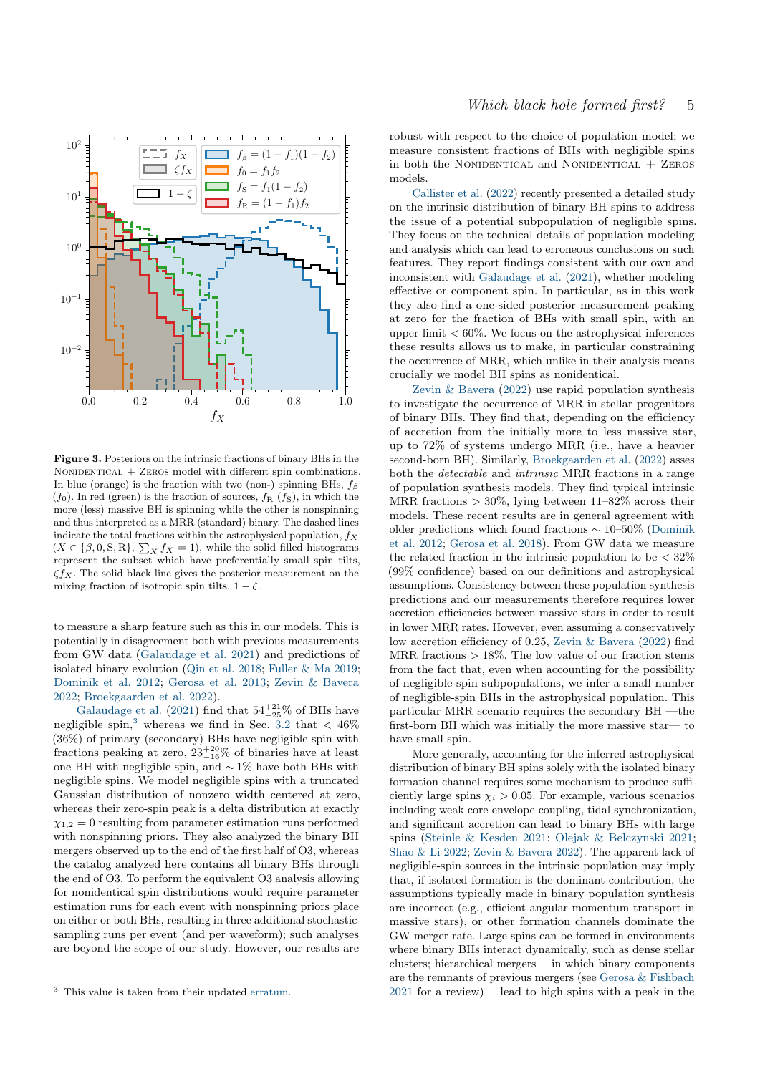

<span id="page-4-0"></span>Figure 3. Posteriors on the intrinsic fractions of binary BHs in the  $NonIDENTICAL$  + ZEROS model with different spin combinations. In blue (orange) is the fraction with two (non-) spinning BHs,  $f_\beta$  $(f_0)$ . In red (green) is the fraction of sources,  $f_R(f_S)$ , in which the more (less) massive BH is spinning while the other is nonspinning and thus interpreted as a MRR (standard) binary. The dashed lines indicate the total fractions within the astrophysical population,  $f_X$  $(X \in \{\beta, 0, S, R\}, \sum_X f_X = 1)$ , while the solid filled histograms represent the subset which have preferentially small spin tilts,  $\zeta f_X$ . The solid black line gives the posterior measurement on the mixing fraction of isotropic spin tilts,  $1 - \zeta$ .

to measure a sharp feature such as this in our models. This is potentially in disagreement both with previous measurements from GW data [\(Galaudage et al.](#page-8-9) [2021\)](#page-8-9) and predictions of isolated binary evolution [\(Qin et al.](#page-8-15) [2018;](#page-8-15) [Fuller & Ma](#page-6-12) [2019;](#page-6-12) [Dominik et al.](#page-6-19) [2012;](#page-6-19) [Gerosa et al.](#page-8-26) [2013;](#page-8-26) [Zevin & Bavera](#page-8-25) [2022;](#page-8-25) [Broekgaarden et al.](#page-6-14) [2022\)](#page-6-14).

[Galaudage et al.](#page-8-9) [\(2021\)](#page-8-9) find that  $54^{+21}_{-25}\%$  of BHs have negligible spin,<sup>[3](#page-4-1)</sup> whereas we find in Sec. [3.2](#page-3-2) that  $\langle 46\%$ (36%) of primary (secondary) BHs have negligible spin with fractions peaking at zero,  $23^{+20}_{-16}\%$  of binaries have at least one BH with negligible spin, and ∼ 1% have both BHs with negligible spins. We model negligible spins with a truncated Gaussian distribution of nonzero width centered at zero, whereas their zero-spin peak is a delta distribution at exactly  $\chi_{1,2} = 0$  resulting from parameter estimation runs performed with nonspinning priors. They also analyzed the binary BH mergers observed up to the end of the first half of O3, whereas the catalog analyzed here contains all binary BHs through the end of O3. To perform the equivalent O3 analysis allowing for nonidentical spin distributions would require parameter estimation runs for each event with nonspinning priors place on either or both BHs, resulting in three additional stochasticsampling runs per event (and per waveform); such analyses are beyond the scope of our study. However, our results are

robust with respect to the choice of population model; we measure consistent fractions of BHs with negligible spins in both the NONIDENTICAL and NONIDENTICAL  $+$  ZEROS models.

[Callister et al.](#page-6-20) [\(2022\)](#page-6-20) recently presented a detailed study on the intrinsic distribution of binary BH spins to address the issue of a potential subpopulation of negligible spins. They focus on the technical details of population modeling and analysis which can lead to erroneous conclusions on such features. They report findings consistent with our own and inconsistent with [Galaudage et al.](#page-8-9) [\(2021\)](#page-8-9), whether modeling effective or component spin. In particular, as in this work they also find a one-sided posterior measurement peaking at zero for the fraction of BHs with small spin, with an upper limit  $< 60\%$ . We focus on the astrophysical inferences these results allows us to make, in particular constraining the occurrence of MRR, which unlike in their analysis means crucially we model BH spins as nonidentical.

Zevin  $\&$  Bavera [\(2022\)](#page-8-25) use rapid population synthesis to investigate the occurrence of MRR in stellar progenitors of binary BHs. They find that, depending on the efficiency of accretion from the initially more to less massive star, up to 72% of systems undergo MRR (i.e., have a heavier second-born BH). Similarly, [Broekgaarden et al.](#page-6-14) [\(2022\)](#page-6-14) asses both the detectable and intrinsic MRR fractions in a range of population synthesis models. They find typical intrinsic MRR fractions  $> 30\%$ , lying between 11–82% across their models. These recent results are in general agreement with older predictions which found fractions ∼ 10–50% [\(Dominik](#page-6-19) [et al.](#page-6-19) [2012;](#page-6-19) [Gerosa et al.](#page-8-34) [2018\)](#page-8-34). From GW data we measure the related fraction in the intrinsic population to be  $\langle 32 \rangle$ (99% confidence) based on our definitions and astrophysical assumptions. Consistency between these population synthesis predictions and our measurements therefore requires lower accretion efficiencies between massive stars in order to result in lower MRR rates. However, even assuming a conservatively low accretion efficiency of 0.25, [Zevin & Bavera](#page-8-25) [\(2022\)](#page-8-25) find MRR fractions  $> 18\%$ . The low value of our fraction stems from the fact that, even when accounting for the possibility of negligible-spin subpopulations, we infer a small number of negligible-spin BHs in the astrophysical population. This particular MRR scenario requires the secondary BH —the first-born BH which was initially the more massive star— to have small spin.

More generally, accounting for the inferred astrophysical distribution of binary BH spins solely with the isolated binary formation channel requires some mechanism to produce sufficiently large spins  $\chi_i > 0.05$ . For example, various scenarios including weak core-envelope coupling, tidal synchronization, and significant accretion can lead to binary BHs with large spins [\(Steinle & Kesden](#page-8-35) [2021;](#page-8-35) [Olejak & Belczynski](#page-8-36) [2021;](#page-8-36) [Shao & Li](#page-8-37) [2022;](#page-8-37) [Zevin & Bavera](#page-8-25) [2022\)](#page-8-25). The apparent lack of negligible-spin sources in the intrinsic population may imply that, if isolated formation is the dominant contribution, the assumptions typically made in binary population synthesis are incorrect (e.g., efficient angular momentum transport in massive stars), or other formation channels dominate the GW merger rate. Large spins can be formed in environments where binary BHs interact dynamically, such as dense stellar clusters; hierarchical mergers —in which binary components are the remnants of previous mergers (see [Gerosa & Fishbach](#page-8-38) [2021](#page-8-38) for a review)— lead to high spins with a peak in the

<span id="page-4-1"></span><sup>3</sup> This value is taken from their updated [erratum.](https://arxiv.org/abs/2109.02424v3)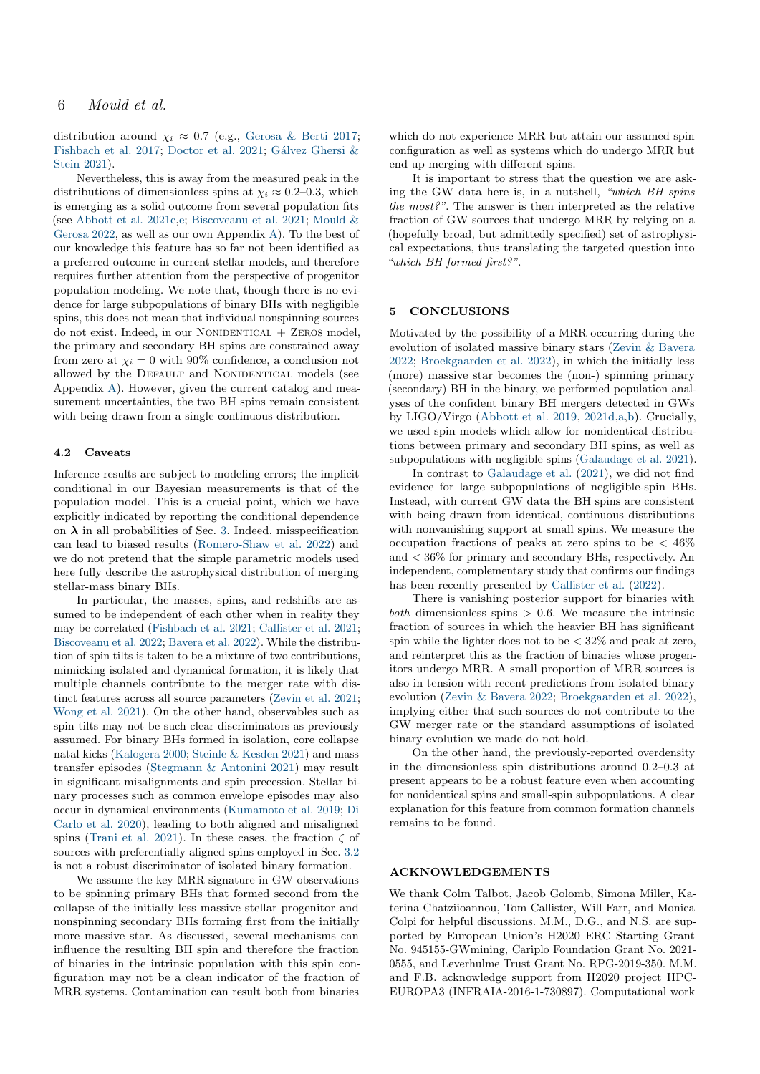distribution around  $\chi_i \approx 0.7$  (e.g., [Gerosa & Berti](#page-8-39) [2017;](#page-8-39) [Fishbach et al.](#page-6-21) [2017;](#page-6-21) [Doctor et al.](#page-6-22) [2021;](#page-6-22) Gálvez Ghersi & [Stein](#page-8-40) [2021\)](#page-8-40).

Nevertheless, this is away from the measured peak in the distributions of dimensionless spins at  $\chi_i \approx 0.2{\text -}0.3$ , which is emerging as a solid outcome from several population fits (see [Abbott et al.](#page-6-4) [2021c,](#page-6-4)[e;](#page-6-10) [Biscoveanu et al.](#page-6-23) [2021;](#page-6-23) [Mould &](#page-8-41) [Gerosa](#page-8-41) [2022,](#page-8-41) as well as our own Appendix [A\)](#page-6-18). To the best of our knowledge this feature has so far not been identified as a preferred outcome in current stellar models, and therefore requires further attention from the perspective of progenitor population modeling. We note that, though there is no evidence for large subpopulations of binary BHs with negligible spins, this does not mean that individual nonspinning sources do not exist. Indeed, in our NONIDENTICAL  $+$  ZEROS model, the primary and secondary BH spins are constrained away from zero at  $\chi_i = 0$  with 90% confidence, a conclusion not allowed by the DEFAULT and NONIDENTICAL models (see Appendix [A\)](#page-6-18). However, given the current catalog and measurement uncertainties, the two BH spins remain consistent with being drawn from a single continuous distribution.

## 4.2 Caveats

Inference results are subject to modeling errors; the implicit conditional in our Bayesian measurements is that of the population model. This is a crucial point, which we have explicitly indicated by reporting the conditional dependence on  $\lambda$  in all probabilities of Sec. [3.](#page-2-0) Indeed, misspecification can lead to biased results [\(Romero-Shaw et al.](#page-8-42) [2022\)](#page-8-42) and we do not pretend that the simple parametric models used here fully describe the astrophysical distribution of merging stellar-mass binary BHs.

In particular, the masses, spins, and redshifts are assumed to be independent of each other when in reality they may be correlated [\(Fishbach et al.](#page-6-7) [2021;](#page-6-7) [Callister et al.](#page-6-6) [2021;](#page-6-6) [Biscoveanu et al.](#page-6-8) [2022;](#page-6-8) [Bavera et al.](#page-6-9) [2022\)](#page-6-9). While the distribution of spin tilts is taken to be a mixture of two contributions, mimicking isolated and dynamical formation, it is likely that multiple channels contribute to the merger rate with distinct features across all source parameters [\(Zevin et al.](#page-8-7) [2021;](#page-8-7) [Wong et al.](#page-8-43) [2021\)](#page-8-43). On the other hand, observables such as spin tilts may not be such clear discriminators as previously assumed. For binary BHs formed in isolation, core collapse natal kicks [\(Kalogera](#page-8-44) [2000;](#page-8-44) [Steinle & Kesden](#page-8-35) [2021\)](#page-8-35) and mass transfer episodes [\(Stegmann & Antonini](#page-8-45) [2021\)](#page-8-45) may result in significant misalignments and spin precession. Stellar binary processes such as common envelope episodes may also occur in dynamical environments [\(Kumamoto et al.](#page-8-46) [2019;](#page-8-46) [Di](#page-6-24) [Carlo et al.](#page-6-24) [2020\)](#page-6-24), leading to both aligned and misaligned spins [\(Trani et al.](#page-8-47) [2021\)](#page-8-47). In these cases, the fraction  $\zeta$  of sources with preferentially aligned spins employed in Sec. [3.2](#page-3-2) is not a robust discriminator of isolated binary formation.

We assume the key MRR signature in GW observations to be spinning primary BHs that formed second from the collapse of the initially less massive stellar progenitor and nonspinning secondary BHs forming first from the initially more massive star. As discussed, several mechanisms can influence the resulting BH spin and therefore the fraction of binaries in the intrinsic population with this spin configuration may not be a clean indicator of the fraction of MRR systems. Contamination can result both from binaries

which do not experience MRR but attain our assumed spin configuration as well as systems which do undergo MRR but end up merging with different spins.

It is important to stress that the question we are asking the GW data here is, in a nutshell, "which BH spins the most?". The answer is then interpreted as the relative fraction of GW sources that undergo MRR by relying on a (hopefully broad, but admittedly specified) set of astrophysical expectations, thus translating the targeted question into "which BH formed first?".

## 5 CONCLUSIONS

Motivated by the possibility of a MRR occurring during the evolution of isolated massive binary stars [\(Zevin & Bavera](#page-8-25) [2022;](#page-8-25) [Broekgaarden et al.](#page-6-14) [2022\)](#page-6-14), in which the initially less (more) massive star becomes the (non-) spinning primary (secondary) BH in the binary, we performed population analyses of the confident binary BH mergers detected in GWs by LIGO/Virgo [\(Abbott et al.](#page-6-0) [2019,](#page-6-0) [2021d,](#page-6-1)[a,](#page-6-2)[b\)](#page-6-3). Crucially, we used spin models which allow for nonidentical distributions between primary and secondary BH spins, as well as subpopulations with negligible spins [\(Galaudage et al.](#page-8-9) [2021\)](#page-8-9).

In contrast to [Galaudage et al.](#page-8-9) [\(2021\)](#page-8-9), we did not find evidence for large subpopulations of negligible-spin BHs. Instead, with current GW data the BH spins are consistent with being drawn from identical, continuous distributions with nonvanishing support at small spins. We measure the occupation fractions of peaks at zero spins to be  $\langle 46\%$ and < 36% for primary and secondary BHs, respectively. An independent, complementary study that confirms our findings has been recently presented by [Callister et al.](#page-6-20)  $(2022)$ .

There is vanishing posterior support for binaries with both dimensionless spins  $> 0.6$ . We measure the intrinsic fraction of sources in which the heavier BH has significant spin while the lighter does not to be  $\langle 32\% \rangle$  and peak at zero, and reinterpret this as the fraction of binaries whose progenitors undergo MRR. A small proportion of MRR sources is also in tension with recent predictions from isolated binary evolution [\(Zevin & Bavera](#page-8-25) [2022;](#page-8-25) [Broekgaarden et al.](#page-6-14) [2022\)](#page-6-14), implying either that such sources do not contribute to the GW merger rate or the standard assumptions of isolated binary evolution we made do not hold.

On the other hand, the previously-reported overdensity in the dimensionless spin distributions around 0.2–0.3 at present appears to be a robust feature even when accounting for nonidentical spins and small-spin subpopulations. A clear explanation for this feature from common formation channels remains to be found.

#### ACKNOWLEDGEMENTS

We thank Colm Talbot, Jacob Golomb, Simona Miller, Katerina Chatziioannou, Tom Callister, Will Farr, and Monica Colpi for helpful discussions. M.M., D.G., and N.S. are supported by European Union's H2020 ERC Starting Grant No. 945155-GWmining, Cariplo Foundation Grant No. 2021- 0555, and Leverhulme Trust Grant No. RPG-2019-350. M.M. and F.B. acknowledge support from H2020 project HPC-EUROPA3 (INFRAIA-2016-1-730897). Computational work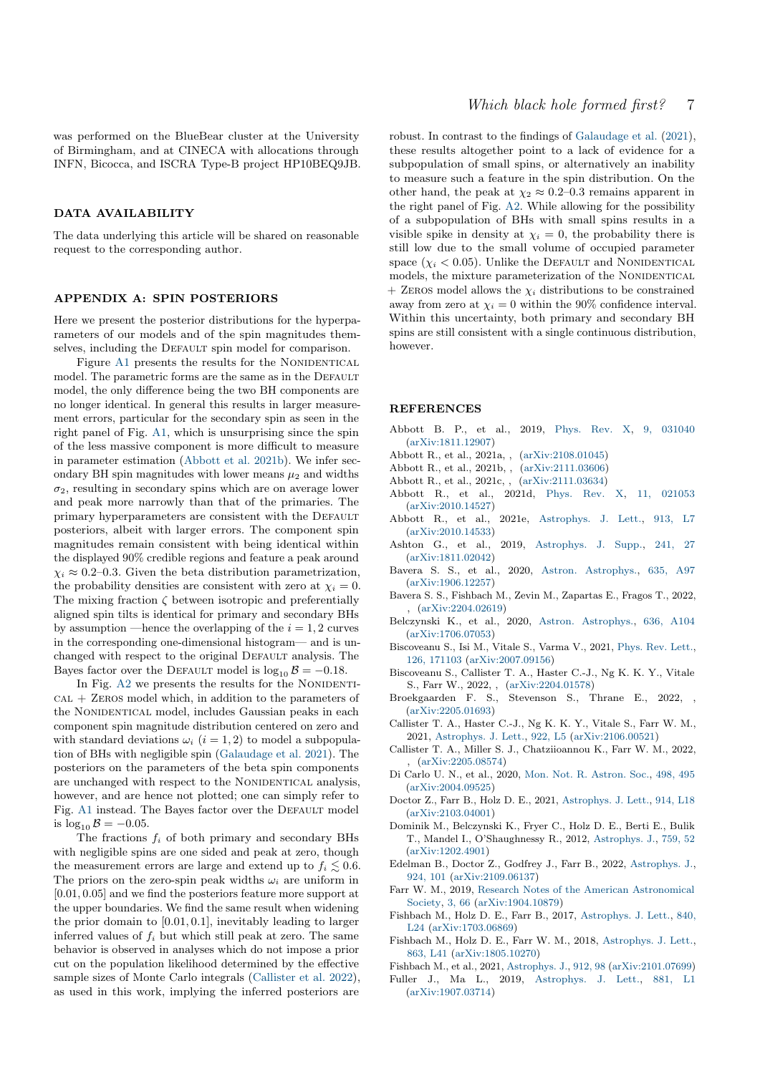was performed on the BlueBear cluster at the University of Birmingham, and at CINECA with allocations through INFN, Bicocca, and ISCRA Type-B project HP10BEQ9JB.

#### DATA AVAILABILITY

The data underlying this article will be shared on reasonable request to the corresponding author.

## <span id="page-6-18"></span>APPENDIX A: SPIN POSTERIORS

Here we present the posterior distributions for the hyperparameters of our models and of the spin magnitudes themselves, including the DEFAULT spin model for comparison.

Figure [A1](#page-7-0) presents the results for the NONIDENTICAL model. The parametric forms are the same as in the DEFAULT model, the only difference being the two BH components are no longer identical. In general this results in larger measurement errors, particular for the secondary spin as seen in the right panel of Fig. [A1,](#page-7-0) which is unsurprising since the spin of the less massive component is more difficult to measure in parameter estimation [\(Abbott et al.](#page-6-3) [2021b\)](#page-6-3). We infer secondary BH spin magnitudes with lower means  $\mu_2$  and widths  $\sigma_2$ , resulting in secondary spins which are on average lower and peak more narrowly than that of the primaries. The primary hyperparameters are consistent with the DEFAULT posteriors, albeit with larger errors. The component spin magnitudes remain consistent with being identical within the displayed 90% credible regions and feature a peak around  $\chi_i \approx 0.2{\text -}0.3$ . Given the beta distribution parametrization, the probability densities are consistent with zero at  $\chi_i = 0$ . The mixing fraction  $\zeta$  between isotropic and preferentially aligned spin tilts is identical for primary and secondary BHs by assumption —hence the overlapping of the  $i = 1, 2$  curves in the corresponding one-dimensional histogram— and is unchanged with respect to the original DEFAULT analysis. The Bayes factor over the DEFAULT model is  $\log_{10} \mathcal{B} = -0.18$ .

In Fig. [A2](#page-7-1) we presents the results for the NONIDENTI- $CAL + ZEROS model which, in addition to the parameters of$ the NONIDENTICAL model, includes Gaussian peaks in each component spin magnitude distribution centered on zero and with standard deviations  $\omega_i$  (i = 1, 2) to model a subpopulation of BHs with negligible spin [\(Galaudage et al.](#page-8-9) [2021\)](#page-8-9). The posteriors on the parameters of the beta spin components are unchanged with respect to the NONIDENTICAL analysis, however, and are hence not plotted; one can simply refer to Fig. [A1](#page-7-0) instead. The Bayes factor over the DEFAULT model is  $\log_{10} \mathcal{B} = -0.05$ .

The fractions  $f_i$  of both primary and secondary BHs with negligible spins are one sided and peak at zero, though the measurement errors are large and extend up to  $f_i \leq 0.6$ . The priors on the zero-spin peak widths  $\omega_i$  are uniform in [0.01, 0.05] and we find the posteriors feature more support at the upper boundaries. We find the same result when widening the prior domain to [0.01, 0.1], inevitably leading to larger inferred values of  $f_i$  but which still peak at zero. The same behavior is observed in analyses which do not impose a prior cut on the population likelihood determined by the effective sample sizes of Monte Carlo integrals [\(Callister et al.](#page-6-20) [2022\)](#page-6-20), as used in this work, implying the inferred posteriors are

robust. In contrast to the findings of [Galaudage et al.](#page-8-9) [\(2021\)](#page-8-9), these results altogether point to a lack of evidence for a subpopulation of small spins, or alternatively an inability to measure such a feature in the spin distribution. On the other hand, the peak at  $\chi_2 \approx 0.2{\text -}0.3$  remains apparent in the right panel of Fig. [A2.](#page-7-1) While allowing for the possibility of a subpopulation of BHs with small spins results in a visible spike in density at  $\chi_i = 0$ , the probability there is still low due to the small volume of occupied parameter space  $(\chi_i < 0.05)$ . Unlike the DEFAULT and NONIDENTICAL models, the mixture parameterization of the NONIDENTICAL + ZEROS model allows the  $\chi_i$  distributions to be constrained away from zero at  $\chi_i = 0$  within the 90% confidence interval. Within this uncertainty, both primary and secondary BH spins are still consistent with a single continuous distribution, however.

#### **REFERENCES**

- <span id="page-6-0"></span>Abbott B. P., et al., 2019, [Phys. Rev. X,](http://dx.doi.org/10.1103/PhysRevX.9.031040) [9, 031040](https://ui.adsabs.harvard.edu/abs/2019PhRvX...9c1040A) [\(arXiv:1811.12907\)](http://arxiv.org/abs/1811.12907)
- <span id="page-6-2"></span>Abbott R., et al., 2021a, , [\(arXiv:2108.01045\)](http://arxiv.org/abs/2108.01045)
- <span id="page-6-3"></span>Abbott R., et al., 2021b, , [\(arXiv:2111.03606\)](http://arxiv.org/abs/2111.03606)
- <span id="page-6-4"></span>Abbott R., et al., 2021c, , [\(arXiv:2111.03634\)](http://arxiv.org/abs/2111.03634)
- <span id="page-6-1"></span>Abbott R., et al., 2021d, [Phys. Rev. X,](http://dx.doi.org/10.1103/PhysRevX.11.021053) [11, 021053](https://ui.adsabs.harvard.edu/abs/2021PhRvX..11b1053A) [\(arXiv:2010.14527\)](http://arxiv.org/abs/2010.14527)
- <span id="page-6-10"></span>Abbott R., et al., 2021e, [Astrophys. J. Lett.,](http://dx.doi.org/10.3847/2041-8213/abe949) [913, L7](https://ui.adsabs.harvard.edu/abs/2021ApJ...913L...7A) [\(arXiv:2010.14533\)](http://arxiv.org/abs/2010.14533)
- <span id="page-6-17"></span>Ashton G., et al., 2019, [Astrophys. J. Supp.,](http://dx.doi.org/10.3847/1538-4365/ab06fc) [241, 27](https://ui.adsabs.harvard.edu/abs/2019ApJS..241...27A) [\(arXiv:1811.02042\)](http://arxiv.org/abs/1811.02042)
- <span id="page-6-13"></span>Bavera S. S., et al., 2020, [Astron. Astrophys.,](http://dx.doi.org/10.1051/0004-6361/201936204) [635, A97](https://ui.adsabs.harvard.edu/abs/2020A&A...635A..97B) [\(arXiv:1906.12257\)](http://arxiv.org/abs/1906.12257)
- <span id="page-6-9"></span>Bavera S. S., Fishbach M., Zevin M., Zapartas E., Fragos T., 2022, , [\(arXiv:2204.02619\)](http://arxiv.org/abs/2204.02619)
- <span id="page-6-11"></span>Belczynski K., et al., 2020, [Astron. Astrophys.,](http://dx.doi.org/10.1051/0004-6361/201936528) [636, A104](https://ui.adsabs.harvard.edu/abs/2020A&A...636A.104B) [\(arXiv:1706.07053\)](http://arxiv.org/abs/1706.07053)
- <span id="page-6-23"></span>Biscoveanu S., Isi M., Vitale S., Varma V., 2021, [Phys. Rev. Lett.,](http://dx.doi.org/10.1103/PhysRevLett.126.171103) [126, 171103](https://ui.adsabs.harvard.edu/abs/2021PhRvL.126q1103B) [\(arXiv:2007.09156\)](http://arxiv.org/abs/2007.09156)
- <span id="page-6-8"></span>Biscoveanu S., Callister T. A., Haster C.-J., Ng K. K. Y., Vitale S., Farr W., 2022, , [\(arXiv:2204.01578\)](http://arxiv.org/abs/2204.01578)
- <span id="page-6-14"></span>Broekgaarden F. S., Stevenson S., Thrane E., 2022, [\(arXiv:2205.01693\)](http://arxiv.org/abs/2205.01693)
- <span id="page-6-6"></span>Callister T. A., Haster C.-J., Ng K. K. Y., Vitale S., Farr W. M., 2021, [Astrophys. J. Lett.,](http://dx.doi.org/10.3847/2041-8213/ac2ccc) [922, L5](https://ui.adsabs.harvard.edu/abs/2021ApJ...922L...5C) [\(arXiv:2106.00521\)](http://arxiv.org/abs/2106.00521)
- <span id="page-6-20"></span>Callister T. A., Miller S. J., Chatziioannou K., Farr W. M., 2022, , [\(arXiv:2205.08574\)](http://arxiv.org/abs/2205.08574)
- <span id="page-6-24"></span>Di Carlo U. N., et al., 2020, [Mon. Not. R. Astron. Soc.,](http://dx.doi.org/10.1093/mnras/staa2286) [498, 495](https://ui.adsabs.harvard.edu/abs/2020MNRAS.498..495D) [\(arXiv:2004.09525\)](http://arxiv.org/abs/2004.09525)
- <span id="page-6-22"></span>Doctor Z., Farr B., Holz D. E., 2021, [Astrophys. J. Lett.,](http://dx.doi.org/10.3847/2041-8213/ac0334) [914, L18](https://ui.adsabs.harvard.edu/abs/2021ApJ...914L..18D) [\(arXiv:2103.04001\)](http://arxiv.org/abs/2103.04001)
- <span id="page-6-19"></span>Dominik M., Belczynski K., Fryer C., Holz D. E., Berti E., Bulik T., Mandel I., O'Shaughnessy R., 2012, [Astrophys. J.,](http://dx.doi.org/10.1088/0004-637X/759/1/52) [759, 52](https://ui.adsabs.harvard.edu/abs/2012ApJ...759...52D) [\(arXiv:1202.4901\)](http://arxiv.org/abs/1202.4901)
- <span id="page-6-5"></span>Edelman B., Doctor Z., Godfrey J., Farr B., 2022, [Astrophys. J.,](http://dx.doi.org/10.3847/1538-4357/ac3667) [924, 101](https://ui.adsabs.harvard.edu/abs/2022ApJ...924..101E) [\(arXiv:2109.06137\)](http://arxiv.org/abs/2109.06137)
- <span id="page-6-16"></span>Farr W. M., 2019, [Research Notes of the American Astronomical](http://dx.doi.org/10.3847/2515-5172/ab1d5f) [Society,](http://dx.doi.org/10.3847/2515-5172/ab1d5f) [3, 66](https://ui.adsabs.harvard.edu/abs/2019RNAAS...3...66F) [\(arXiv:1904.10879\)](http://arxiv.org/abs/1904.10879)
- <span id="page-6-21"></span>Fishbach M., Holz D. E., Farr B., 2017, [Astrophys. J. Lett.,](http://dx.doi.org/10.3847/2041-8213/aa7045) [840,](https://ui.adsabs.harvard.edu/abs/2017ApJ...840L..24F) [L24](https://ui.adsabs.harvard.edu/abs/2017ApJ...840L..24F) [\(arXiv:1703.06869\)](http://arxiv.org/abs/1703.06869)
- <span id="page-6-15"></span>Fishbach M., Holz D. E., Farr W. M., 2018, [Astrophys. J. Lett.,](http://dx.doi.org/10.3847/2041-8213/aad800) [863, L41](https://ui.adsabs.harvard.edu/abs/2018ApJ...863L..41F) [\(arXiv:1805.10270\)](http://arxiv.org/abs/1805.10270)

<span id="page-6-7"></span>Fishbach M., et al., 2021, [Astrophys. J.,](http://dx.doi.org/10.3847/1538-4357/abee11) [912, 98](https://ui.adsabs.harvard.edu/abs/2021ApJ...912...98F) [\(arXiv:2101.07699\)](http://arxiv.org/abs/2101.07699)

<span id="page-6-12"></span>Fuller J., Ma L., 2019, [Astrophys. J. Lett.,](http://dx.doi.org/10.3847/2041-8213/ab339b) [881, L1](https://ui.adsabs.harvard.edu/abs/2019ApJ...881L...1F) [\(arXiv:1907.03714\)](http://arxiv.org/abs/1907.03714)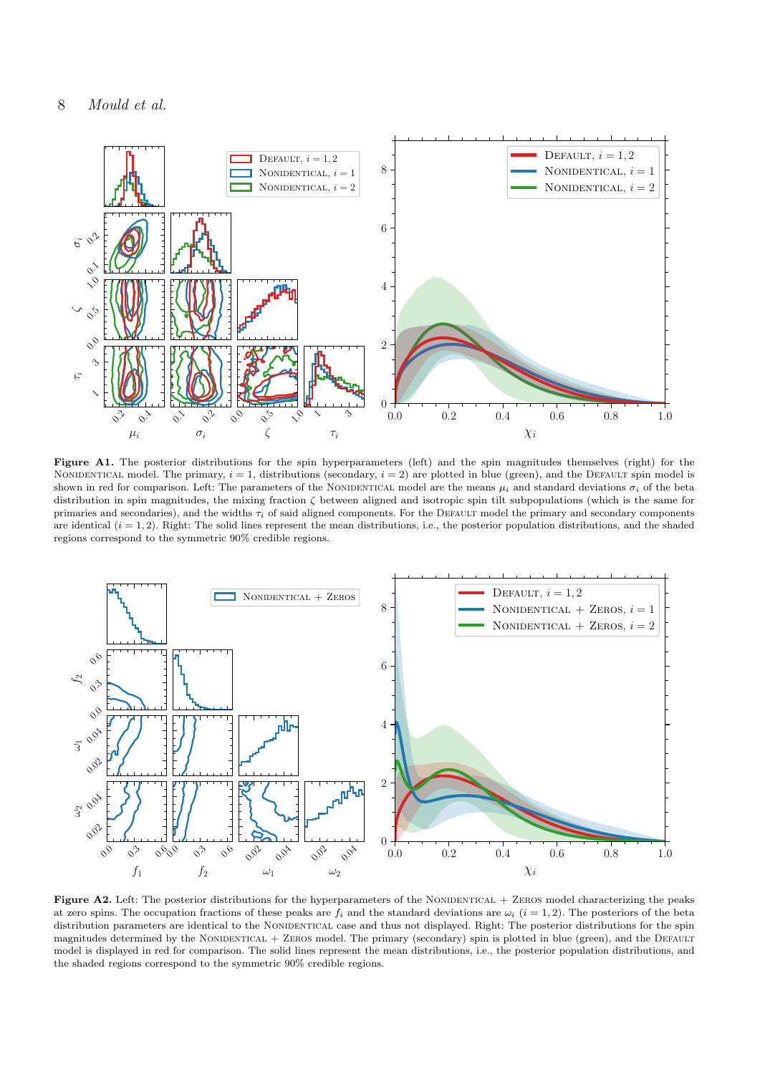

<span id="page-7-0"></span>Figure A1. The posterior distributions for the spin hyperparameters (left) and the spin magnitudes themselves (right) for the NONIDENTICAL model. The primary,  $i = 1$ , distributions (secondary,  $i = 2$ ) are plotted in blue (green), and the DEFAULT spin model is shown in red for comparison. Left: The parameters of the NONIDENTICAL model are the means  $\mu_i$  and standard deviations  $\sigma_i$  of the beta distribution in spin magnitudes, the mixing fraction ζ between aligned and isotropic spin tilt subpopulations (which is the same for primaries and secondaries), and the widths  $\tau_i$  of said aligned components. For the DEFAULT model the primary and secondary components are identical  $(i = 1, 2)$ . Right: The solid lines represent the mean distributions, i.e., the posterior population distributions, and the shaded regions correspond to the symmetric 90% credible regions.



<span id="page-7-1"></span>Figure A2. Left: The posterior distributions for the hyperparameters of the NONIDENTICAL + ZEROS model characterizing the peaks at zero spins. The occupation fractions of these peaks are  $f_i$  and the standard deviations are  $\omega_i$   $(i = 1, 2)$ . The posteriors of the beta distribution parameters are identical to the NONIDENTICAL case and thus not displayed. Right: The posterior distributions for the spin magnitudes determined by the NONIDENTICAL + ZEROS model. The primary (secondary) spin is plotted in blue (green), and the DEFAULT model is displayed in red for comparison. The solid lines represent the mean distributions, i.e., the posterior population distributions, and the shaded regions correspond to the symmetric 90% credible regions.